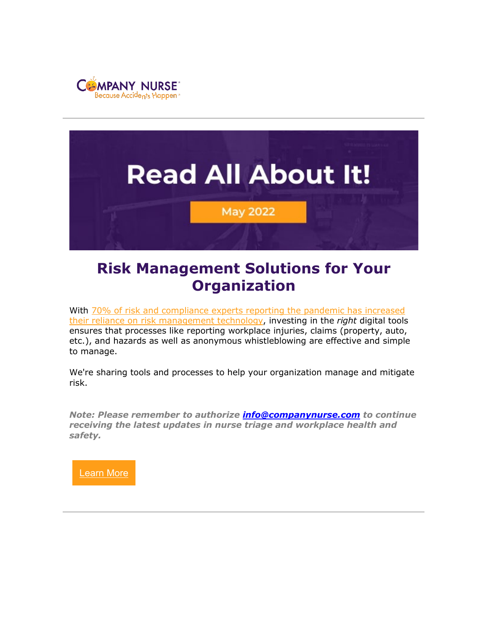



# **Risk Management Solutions for Your Organization**

With 70% of risk and compliance experts reporting the pandemic has increased [their reliance on risk management technology,](https://secureframe.com/blog/compliance-statistics) investing in the *right* digital tools ensures that processes like reporting workplace injuries, claims (property, auto, etc.), and hazards as well as anonymous whistleblowing are effective and simple to manage.

We're sharing tools and processes to help your organization manage and mitigate risk.

*Note: Please remember to authorize [info@companynurse.com](mailto:info@companynurse.com) to continue receiving the latest updates in nurse triage and workplace health and safety.*

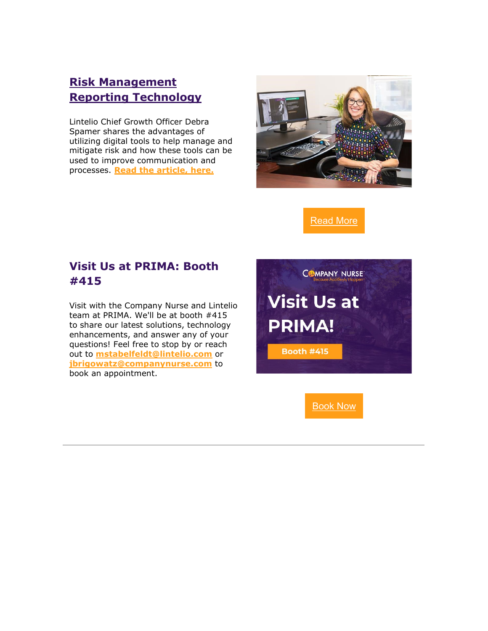## **[Risk Management](https://www.companynurse.com/2022/05/24/risk-management-reporting-technology/)  [Reporting Technology](https://www.companynurse.com/2022/05/24/risk-management-reporting-technology/)**

Lintelio Chief Growth Officer Debra Spamer shares the advantages of utilizing digital tools to help manage and mitigate risk and how these tools can be used to improve communication and processes. **Read the [article,](https://www.companynurse.com/2022/05/24/risk-management-reporting-technology/) here.**



[Read](https://www.companynurse.com/2022/05/24/risk-management-reporting-technology/) More

#### **Visit Us at PRIMA: Booth #415**

Visit with the Company Nurse and Lintelio team at PRIMA. We'll be at booth #415 to share our latest solutions, technology enhancements, and answer any of your questions! Feel free to stop by or reach out to **[mstabelfeldt@lintelio.com](mailto:mstabelfeldt@lintelio.com?subject=Visit%20Company%20Nurse%20and%20Lintelio%20at%20PRIMA)** or **[jbrigowatz@companynurse.com](mailto:jbrigowatz@companynurse.com?subject=Visit%20Company%20Nurse%20and%20Lintelio%20at%20PRIMA)** to book an appointment.



[Book](mailto:mstabelfeldt@lintelio.com?subject=Visit%20Company%20Nurse%20and%20Lintelio%20at%20PRIMA) Now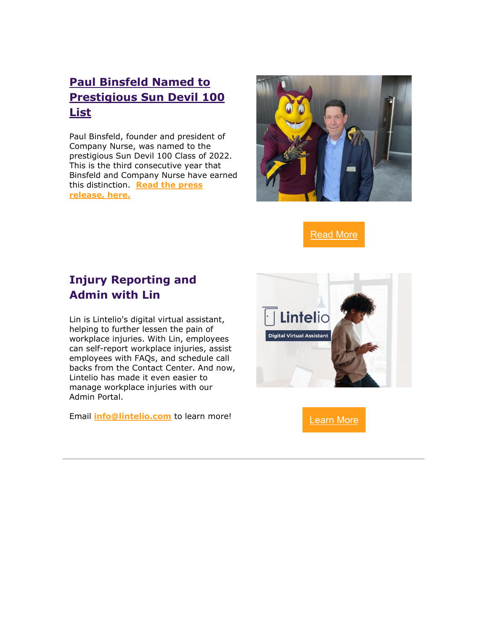## **[Paul Binsfeld Named to](https://www.companynurse.com/2022/04/04/company-nurse-founder-and-president-paul-binsfeld-named-to-prestigious-sun-devil-100-list-for-three-consecutive-years/)  [Prestigious Sun Devil 100](https://www.companynurse.com/2022/04/04/company-nurse-founder-and-president-paul-binsfeld-named-to-prestigious-sun-devil-100-list-for-three-consecutive-years/)  [List](https://www.companynurse.com/2022/04/04/company-nurse-founder-and-president-paul-binsfeld-named-to-prestigious-sun-devil-100-list-for-three-consecutive-years/)**

Paul Binsfeld, founder and president of Company Nurse, was named to the prestigious Sun Devil 100 Class of 2022. This is the third consecutive year that Binsfeld and Company Nurse have earned this distinction. **Read the [press](https://www.companynurse.com/2022/04/04/company-nurse-founder-and-president-paul-binsfeld-named-to-prestigious-sun-devil-100-list-for-three-consecutive-years/) [release,](https://www.companynurse.com/2022/04/04/company-nurse-founder-and-president-paul-binsfeld-named-to-prestigious-sun-devil-100-list-for-three-consecutive-years/) here.**



[Read](https://www.companynurse.com/2022/04/04/company-nurse-founder-and-president-paul-binsfeld-named-to-prestigious-sun-devil-100-list-for-three-consecutive-years/) More

#### **Injury Reporting and Admin with Lin**

Lin is Lintelio's digital virtual assistant, helping to further lessen the pain of workplace injuries. With Lin, employees can self-report workplace injuries, assist employees with FAQs, and schedule call backs from the Contact Center. And now, Lintelio has made it even easier to manage workplace injuries with our Admin Portal.

Email **[info@lintelio.com](mailto:info@lintelio.com?subject=Learn%20More%20About%20Lin!)** to learn more! [Learn](mailto:info@lintelio.com?subject=Learn%20More%20About%20Lintelio) More